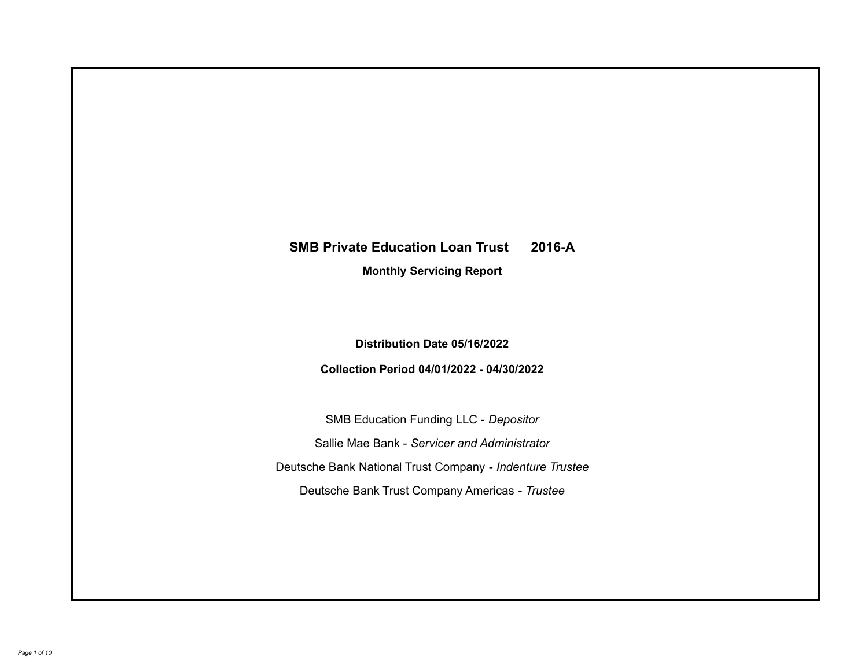# **SMB Private Education Loan Trust 2016-A**

**Monthly Servicing Report**

**Distribution Date 05/16/2022**

**Collection Period 04/01/2022 - 04/30/2022**

SMB Education Funding LLC - *Depositor* Sallie Mae Bank - *Servicer and Administrator* Deutsche Bank National Trust Company - *Indenture Trustee* Deutsche Bank Trust Company Americas - *Trustee*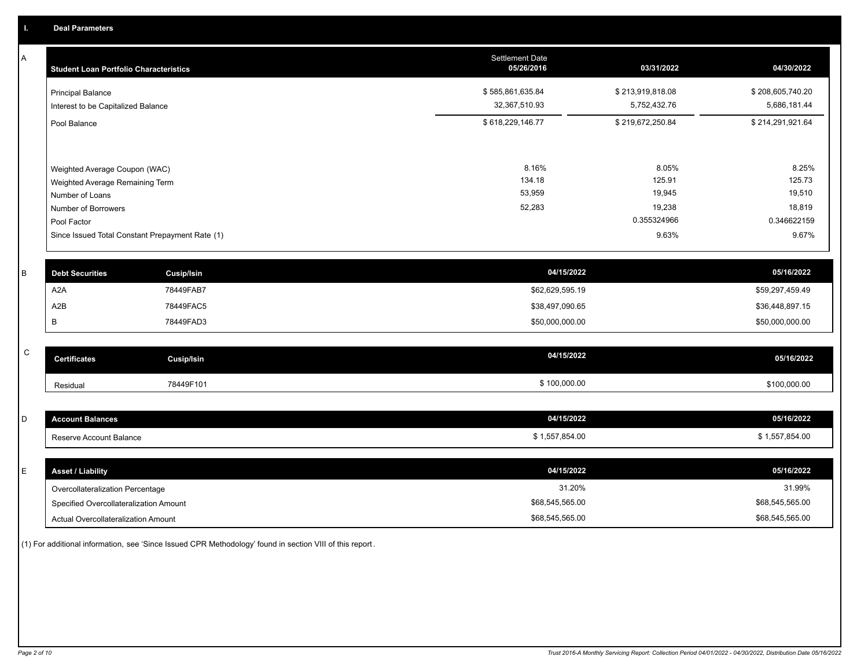A

 $\,$  C  $\,$ 

| A            | <b>Student Loan Portfolio Characteristics</b> |                                                 | <b>Settlement Date</b><br>05/26/2016 | 03/31/2022       | 04/30/2022       |
|--------------|-----------------------------------------------|-------------------------------------------------|--------------------------------------|------------------|------------------|
|              | <b>Principal Balance</b>                      |                                                 | \$585,861,635.84                     | \$213,919,818.08 | \$208,605,740.20 |
|              | Interest to be Capitalized Balance            |                                                 | 32,367,510.93                        | 5,752,432.76     | 5,686,181.44     |
|              | Pool Balance                                  |                                                 | \$618,229,146.77                     | \$219,672,250.84 | \$214,291,921.64 |
|              |                                               |                                                 |                                      |                  |                  |
|              | Weighted Average Coupon (WAC)                 |                                                 | 8.16%                                | 8.05%            | 8.25%            |
|              | Weighted Average Remaining Term               |                                                 | 134.18                               | 125.91           | 125.73           |
|              | Number of Loans                               |                                                 | 53,959                               | 19,945           | 19,510           |
|              | Number of Borrowers                           |                                                 | 52,283                               | 19,238           | 18,819           |
|              | Pool Factor                                   |                                                 |                                      | 0.355324966      | 0.346622159      |
|              |                                               | Since Issued Total Constant Prepayment Rate (1) |                                      | 9.63%            | 9.67%            |
| B            | <b>Debt Securities</b>                        | <b>Cusip/Isin</b>                               | 04/15/2022                           |                  | 05/16/2022       |
|              | A <sub>2</sub> A                              | 78449FAB7                                       | \$62,629,595.19                      |                  | \$59,297,459.49  |
|              | A2B                                           | 78449FAC5                                       | \$38,497,090.65                      |                  | \$36,448,897.15  |
|              | B                                             | 78449FAD3                                       | \$50,000,000.00                      |                  | \$50,000,000.00  |
|              |                                               |                                                 |                                      |                  |                  |
| $\mathsf{C}$ | <b>Certificates</b>                           | <b>Cusip/Isin</b>                               | 04/15/2022                           |                  | 05/16/2022       |
|              | Residual                                      | 78449F101                                       | \$100,000.00                         |                  | \$100,000.00     |
|              |                                               |                                                 |                                      |                  |                  |
| D            | <b>Account Balances</b>                       |                                                 | 04/15/2022                           |                  | 05/16/2022       |
|              | Reserve Account Balance                       |                                                 | \$1,557,854.00                       |                  | \$1,557,854.00   |

| <b>Asset / Liability</b>               | 04/15/2022      | 05/16/2022      |
|----------------------------------------|-----------------|-----------------|
| Overcollateralization Percentage       | 31.20%          | 31.99%          |
| Specified Overcollateralization Amount | \$68,545,565.00 | \$68,545,565.00 |
| Actual Overcollateralization Amount    | \$68,545,565.00 | \$68,545,565.00 |

(1) For additional information, see 'Since Issued CPR Methodology' found in section VIII of this report .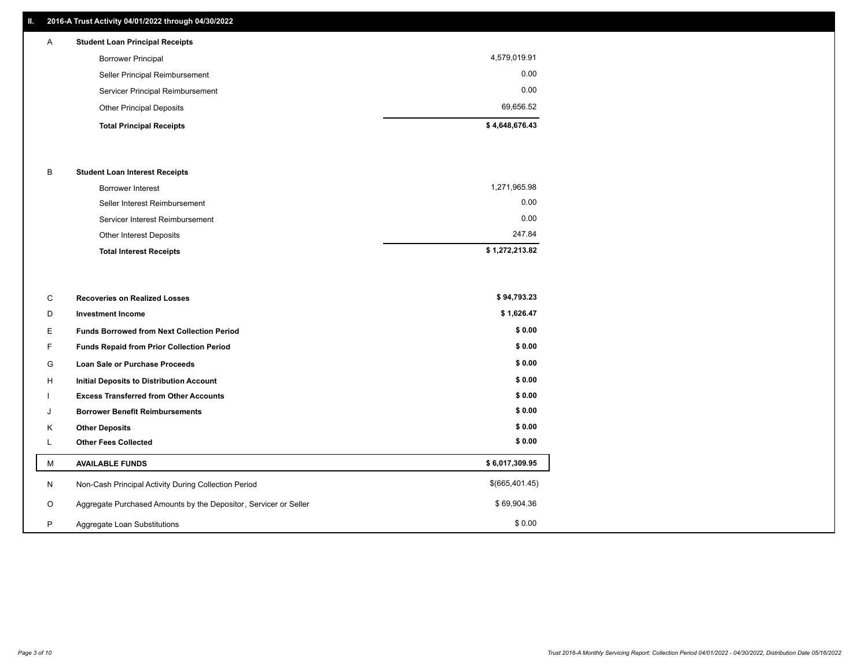## **II. 2016-A Trust Activity 04/01/2022 through 04/30/2022**

| A | <b>Student Loan Principal Receipts</b> |                |
|---|----------------------------------------|----------------|
|   | <b>Borrower Principal</b>              | 4,579,019.91   |
|   | Seller Principal Reimbursement         | 0.00           |
|   | Servicer Principal Reimbursement       | 0.00           |
|   | <b>Other Principal Deposits</b>        | 69,656.52      |
|   | <b>Total Principal Receipts</b>        | \$4,648,676.43 |

### B **Student Loan Interest Receipts**

| <b>Total Interest Receipts</b>  | \$1,272,213.82 |
|---------------------------------|----------------|
| Other Interest Deposits         | 247.84         |
| Servicer Interest Reimbursement | 0.00           |
| Seller Interest Reimbursement   | 0.00           |
| Borrower Interest               | 1,271,965.98   |

| C       | <b>Recoveries on Realized Losses</b>                             | \$94,793.23    |
|---------|------------------------------------------------------------------|----------------|
| D       | <b>Investment Income</b>                                         | \$1,626.47     |
| Е       | <b>Funds Borrowed from Next Collection Period</b>                | \$0.00         |
| F       | <b>Funds Repaid from Prior Collection Period</b>                 | \$0.00         |
| G       | Loan Sale or Purchase Proceeds                                   | \$0.00         |
| H       | Initial Deposits to Distribution Account                         | \$0.00         |
|         | <b>Excess Transferred from Other Accounts</b>                    | \$0.00         |
| J       | <b>Borrower Benefit Reimbursements</b>                           | \$0.00         |
| K       | <b>Other Deposits</b>                                            | \$0.00         |
| ъ.      | <b>Other Fees Collected</b>                                      | \$0.00         |
| М       | <b>AVAILABLE FUNDS</b>                                           | \$6,017,309.95 |
| N       | Non-Cash Principal Activity During Collection Period             | \$(665,401.45) |
| $\circ$ | Aggregate Purchased Amounts by the Depositor, Servicer or Seller | \$69,904.36    |
| P       | Aggregate Loan Substitutions                                     | \$0.00         |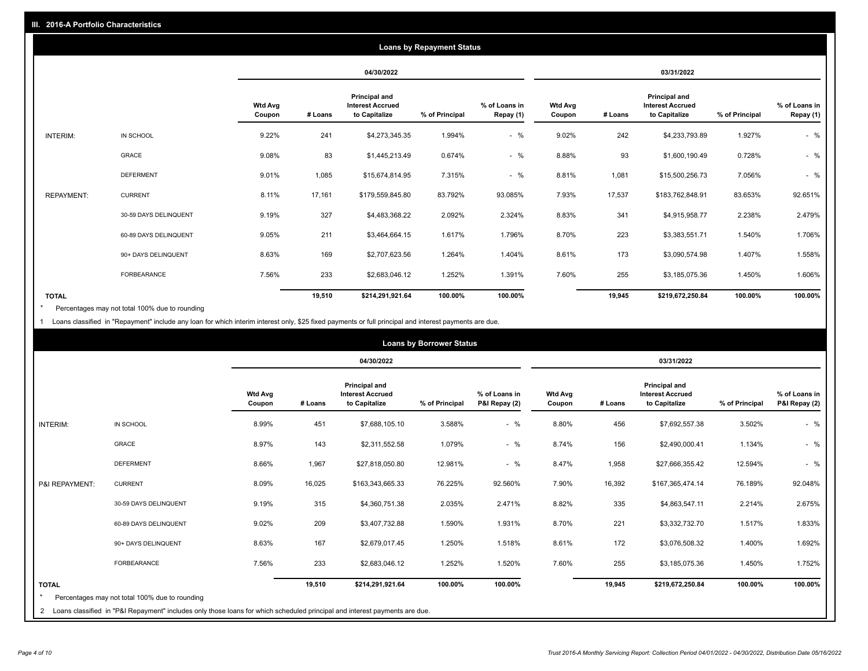| <b>Loans by Repayment Status</b> |                       |                          |         |                                                           |                |                            |                          |         |                                                           |                |                            |
|----------------------------------|-----------------------|--------------------------|---------|-----------------------------------------------------------|----------------|----------------------------|--------------------------|---------|-----------------------------------------------------------|----------------|----------------------------|
|                                  |                       |                          |         | 04/30/2022                                                |                |                            |                          |         | 03/31/2022                                                |                |                            |
|                                  |                       | <b>Wtd Avg</b><br>Coupon | # Loans | Principal and<br><b>Interest Accrued</b><br>to Capitalize | % of Principal | % of Loans in<br>Repay (1) | <b>Wtd Avg</b><br>Coupon | # Loans | Principal and<br><b>Interest Accrued</b><br>to Capitalize | % of Principal | % of Loans in<br>Repay (1) |
| INTERIM:                         | IN SCHOOL             | 9.22%                    | 241     | \$4,273,345.35                                            | 1.994%         | $-$ %                      | 9.02%                    | 242     | \$4,233,793.89                                            | 1.927%         | $-$ %                      |
|                                  | GRACE                 | 9.08%                    | 83      | \$1,445,213.49                                            | 0.674%         | $-$ %                      | 8.88%                    | 93      | \$1,600,190.49                                            | 0.728%         | $-$ %                      |
|                                  | <b>DEFERMENT</b>      | 9.01%                    | 1,085   | \$15,674,814.95                                           | 7.315%         | $-$ %                      | 8.81%                    | 1,081   | \$15,500,256.73                                           | 7.056%         | $-$ %                      |
| <b>REPAYMENT:</b>                | <b>CURRENT</b>        | 8.11%                    | 17,161  | \$179,559,845.80                                          | 83.792%        | 93.085%                    | 7.93%                    | 17,537  | \$183,762,848.91                                          | 83.653%        | 92.651%                    |
|                                  | 30-59 DAYS DELINQUENT | 9.19%                    | 327     | \$4,483,368.22                                            | 2.092%         | 2.324%                     | 8.83%                    | 341     | \$4,915,958.77                                            | 2.238%         | 2.479%                     |
|                                  | 60-89 DAYS DELINQUENT | 9.05%                    | 211     | \$3,464,664.15                                            | 1.617%         | 1.796%                     | 8.70%                    | 223     | \$3,383,551.71                                            | 1.540%         | 1.706%                     |
|                                  | 90+ DAYS DELINQUENT   | 8.63%                    | 169     | \$2,707,623.56                                            | 1.264%         | 1.404%                     | 8.61%                    | 173     | \$3,090,574.98                                            | 1.407%         | 1.558%                     |
|                                  | <b>FORBEARANCE</b>    | 7.56%                    | 233     | \$2,683,046.12                                            | 1.252%         | 1.391%                     | 7.60%                    | 255     | \$3,185,075.36                                            | 1.450%         | 1.606%                     |
| <b>TOTAL</b>                     |                       |                          | 19,510  | \$214,291,921.64                                          | 100.00%        | 100.00%                    |                          | 19,945  | \$219,672,250.84                                          | 100.00%        | 100.00%                    |

Percentages may not total 100% due to rounding \*

1 Loans classified in "Repayment" include any loan for which interim interest only, \$25 fixed payments or full principal and interest payments are due.

| <b>Loans by Borrower Status</b> |                                                                                                                              |                          |         |                                                                  |                |                                |                          |         |                                                                  |                |                                |
|---------------------------------|------------------------------------------------------------------------------------------------------------------------------|--------------------------|---------|------------------------------------------------------------------|----------------|--------------------------------|--------------------------|---------|------------------------------------------------------------------|----------------|--------------------------------|
|                                 |                                                                                                                              |                          |         | 04/30/2022                                                       |                |                                | 03/31/2022               |         |                                                                  |                |                                |
|                                 |                                                                                                                              | <b>Wtd Avg</b><br>Coupon | # Loans | <b>Principal and</b><br><b>Interest Accrued</b><br>to Capitalize | % of Principal | % of Loans in<br>P&I Repay (2) | <b>Wtd Avg</b><br>Coupon | # Loans | <b>Principal and</b><br><b>Interest Accrued</b><br>to Capitalize | % of Principal | % of Loans in<br>P&I Repay (2) |
| INTERIM:                        | IN SCHOOL                                                                                                                    | 8.99%                    | 451     | \$7,688,105.10                                                   | 3.588%         | $-$ %                          | 8.80%                    | 456     | \$7,692,557.38                                                   | 3.502%         | $-$ %                          |
|                                 | <b>GRACE</b>                                                                                                                 | 8.97%                    | 143     | \$2,311,552.58                                                   | 1.079%         | $-$ %                          | 8.74%                    | 156     | \$2,490,000.41                                                   | 1.134%         | $-$ %                          |
|                                 | <b>DEFERMENT</b>                                                                                                             | 8.66%                    | 1,967   | \$27,818,050.80                                                  | 12.981%        | $-$ %                          | 8.47%                    | 1,958   | \$27,666,355.42                                                  | 12.594%        | $-$ %                          |
| P&I REPAYMENT:                  | <b>CURRENT</b>                                                                                                               | 8.09%                    | 16,025  | \$163,343,665.33                                                 | 76.225%        | 92.560%                        | 7.90%                    | 16,392  | \$167,365,474.14                                                 | 76.189%        | 92.048%                        |
|                                 | 30-59 DAYS DELINQUENT                                                                                                        | 9.19%                    | 315     | \$4,360,751.38                                                   | 2.035%         | 2.471%                         | 8.82%                    | 335     | \$4,863,547.11                                                   | 2.214%         | 2.675%                         |
|                                 | 60-89 DAYS DELINQUENT                                                                                                        | 9.02%                    | 209     | \$3,407,732.88                                                   | 1.590%         | 1.931%                         | 8.70%                    | 221     | \$3,332,732.70                                                   | 1.517%         | 1.833%                         |
|                                 | 90+ DAYS DELINQUENT                                                                                                          | 8.63%                    | 167     | \$2,679,017.45                                                   | 1.250%         | 1.518%                         | 8.61%                    | 172     | \$3,076,508.32                                                   | 1.400%         | 1.692%                         |
|                                 | <b>FORBEARANCE</b>                                                                                                           | 7.56%                    | 233     | \$2,683,046.12                                                   | 1.252%         | 1.520%                         | 7.60%                    | 255     | \$3,185,075.36                                                   | 1.450%         | 1.752%                         |
| <b>TOTAL</b>                    | Percentages may not total 100% due to rounding                                                                               |                          | 19,510  | \$214,291,921.64                                                 | 100.00%        | 100.00%                        |                          | 19,945  | \$219,672,250.84                                                 | 100.00%        | 100.00%                        |
|                                 | 2 Loans classified in "P&I Repayment" includes only those loans for which scheduled principal and interest payments are due. |                          |         |                                                                  |                |                                |                          |         |                                                                  |                |                                |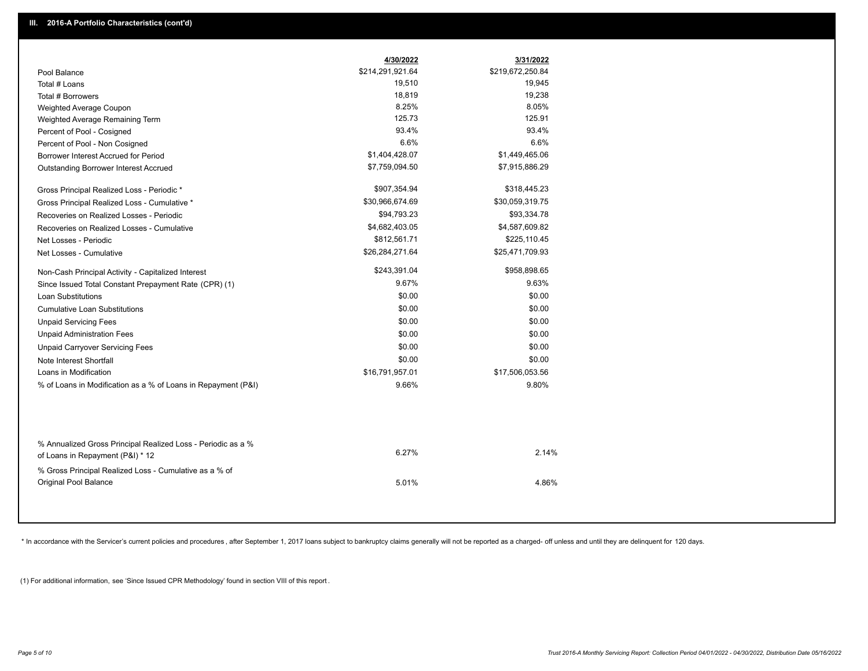| 4/30/2022<br>3/31/2022<br>\$214,291,921.64<br>\$219,672,250.84<br>Pool Balance<br>19,510<br>19,945<br>Total # Loans<br>18,819<br>19,238<br>Total # Borrowers<br>8.05%<br>8.25%<br>Weighted Average Coupon<br>125.73<br>125.91<br>Weighted Average Remaining Term<br>93.4%<br>93.4%<br>Percent of Pool - Cosigned<br>6.6%<br>6.6%<br>Percent of Pool - Non Cosigned<br>\$1,404,428.07<br>\$1,449,465.06<br>Borrower Interest Accrued for Period<br>\$7,759,094.50<br>\$7,915,886.29<br>Outstanding Borrower Interest Accrued<br>\$907,354.94<br>\$318,445.23<br>Gross Principal Realized Loss - Periodic *<br>\$30,966,674.69<br>\$30,059,319.75<br>Gross Principal Realized Loss - Cumulative *<br>\$94,793.23<br>\$93,334.78<br>Recoveries on Realized Losses - Periodic<br>\$4,682,403.05<br>\$4,587,609.82<br>Recoveries on Realized Losses - Cumulative<br>\$812,561.71<br>\$225,110.45<br>Net Losses - Periodic<br>\$26,284,271.64<br>\$25,471,709.93<br>Net Losses - Cumulative<br>\$243,391.04<br>\$958,898.65<br>Non-Cash Principal Activity - Capitalized Interest<br>9.67%<br>9.63%<br>Since Issued Total Constant Prepayment Rate (CPR) (1)<br>\$0.00<br>\$0.00<br><b>Loan Substitutions</b><br>\$0.00<br>\$0.00<br><b>Cumulative Loan Substitutions</b><br>\$0.00<br>\$0.00<br><b>Unpaid Servicing Fees</b><br>\$0.00<br><b>Unpaid Administration Fees</b><br>\$0.00<br>\$0.00<br>\$0.00<br><b>Unpaid Carryover Servicing Fees</b><br>\$0.00<br>\$0.00<br>Note Interest Shortfall<br>Loans in Modification<br>\$16,791,957.01<br>\$17,506,053.56<br>9.66%<br>9.80%<br>% of Loans in Modification as a % of Loans in Repayment (P&I) |  |       |
|-------------------------------------------------------------------------------------------------------------------------------------------------------------------------------------------------------------------------------------------------------------------------------------------------------------------------------------------------------------------------------------------------------------------------------------------------------------------------------------------------------------------------------------------------------------------------------------------------------------------------------------------------------------------------------------------------------------------------------------------------------------------------------------------------------------------------------------------------------------------------------------------------------------------------------------------------------------------------------------------------------------------------------------------------------------------------------------------------------------------------------------------------------------------------------------------------------------------------------------------------------------------------------------------------------------------------------------------------------------------------------------------------------------------------------------------------------------------------------------------------------------------------------------------------------------------------------------------------------------------------------------------------|--|-------|
|                                                                                                                                                                                                                                                                                                                                                                                                                                                                                                                                                                                                                                                                                                                                                                                                                                                                                                                                                                                                                                                                                                                                                                                                                                                                                                                                                                                                                                                                                                                                                                                                                                                 |  |       |
|                                                                                                                                                                                                                                                                                                                                                                                                                                                                                                                                                                                                                                                                                                                                                                                                                                                                                                                                                                                                                                                                                                                                                                                                                                                                                                                                                                                                                                                                                                                                                                                                                                                 |  |       |
|                                                                                                                                                                                                                                                                                                                                                                                                                                                                                                                                                                                                                                                                                                                                                                                                                                                                                                                                                                                                                                                                                                                                                                                                                                                                                                                                                                                                                                                                                                                                                                                                                                                 |  |       |
|                                                                                                                                                                                                                                                                                                                                                                                                                                                                                                                                                                                                                                                                                                                                                                                                                                                                                                                                                                                                                                                                                                                                                                                                                                                                                                                                                                                                                                                                                                                                                                                                                                                 |  |       |
|                                                                                                                                                                                                                                                                                                                                                                                                                                                                                                                                                                                                                                                                                                                                                                                                                                                                                                                                                                                                                                                                                                                                                                                                                                                                                                                                                                                                                                                                                                                                                                                                                                                 |  |       |
|                                                                                                                                                                                                                                                                                                                                                                                                                                                                                                                                                                                                                                                                                                                                                                                                                                                                                                                                                                                                                                                                                                                                                                                                                                                                                                                                                                                                                                                                                                                                                                                                                                                 |  |       |
|                                                                                                                                                                                                                                                                                                                                                                                                                                                                                                                                                                                                                                                                                                                                                                                                                                                                                                                                                                                                                                                                                                                                                                                                                                                                                                                                                                                                                                                                                                                                                                                                                                                 |  |       |
|                                                                                                                                                                                                                                                                                                                                                                                                                                                                                                                                                                                                                                                                                                                                                                                                                                                                                                                                                                                                                                                                                                                                                                                                                                                                                                                                                                                                                                                                                                                                                                                                                                                 |  |       |
|                                                                                                                                                                                                                                                                                                                                                                                                                                                                                                                                                                                                                                                                                                                                                                                                                                                                                                                                                                                                                                                                                                                                                                                                                                                                                                                                                                                                                                                                                                                                                                                                                                                 |  |       |
|                                                                                                                                                                                                                                                                                                                                                                                                                                                                                                                                                                                                                                                                                                                                                                                                                                                                                                                                                                                                                                                                                                                                                                                                                                                                                                                                                                                                                                                                                                                                                                                                                                                 |  |       |
|                                                                                                                                                                                                                                                                                                                                                                                                                                                                                                                                                                                                                                                                                                                                                                                                                                                                                                                                                                                                                                                                                                                                                                                                                                                                                                                                                                                                                                                                                                                                                                                                                                                 |  |       |
|                                                                                                                                                                                                                                                                                                                                                                                                                                                                                                                                                                                                                                                                                                                                                                                                                                                                                                                                                                                                                                                                                                                                                                                                                                                                                                                                                                                                                                                                                                                                                                                                                                                 |  |       |
|                                                                                                                                                                                                                                                                                                                                                                                                                                                                                                                                                                                                                                                                                                                                                                                                                                                                                                                                                                                                                                                                                                                                                                                                                                                                                                                                                                                                                                                                                                                                                                                                                                                 |  |       |
|                                                                                                                                                                                                                                                                                                                                                                                                                                                                                                                                                                                                                                                                                                                                                                                                                                                                                                                                                                                                                                                                                                                                                                                                                                                                                                                                                                                                                                                                                                                                                                                                                                                 |  |       |
|                                                                                                                                                                                                                                                                                                                                                                                                                                                                                                                                                                                                                                                                                                                                                                                                                                                                                                                                                                                                                                                                                                                                                                                                                                                                                                                                                                                                                                                                                                                                                                                                                                                 |  |       |
|                                                                                                                                                                                                                                                                                                                                                                                                                                                                                                                                                                                                                                                                                                                                                                                                                                                                                                                                                                                                                                                                                                                                                                                                                                                                                                                                                                                                                                                                                                                                                                                                                                                 |  |       |
|                                                                                                                                                                                                                                                                                                                                                                                                                                                                                                                                                                                                                                                                                                                                                                                                                                                                                                                                                                                                                                                                                                                                                                                                                                                                                                                                                                                                                                                                                                                                                                                                                                                 |  |       |
|                                                                                                                                                                                                                                                                                                                                                                                                                                                                                                                                                                                                                                                                                                                                                                                                                                                                                                                                                                                                                                                                                                                                                                                                                                                                                                                                                                                                                                                                                                                                                                                                                                                 |  |       |
|                                                                                                                                                                                                                                                                                                                                                                                                                                                                                                                                                                                                                                                                                                                                                                                                                                                                                                                                                                                                                                                                                                                                                                                                                                                                                                                                                                                                                                                                                                                                                                                                                                                 |  |       |
|                                                                                                                                                                                                                                                                                                                                                                                                                                                                                                                                                                                                                                                                                                                                                                                                                                                                                                                                                                                                                                                                                                                                                                                                                                                                                                                                                                                                                                                                                                                                                                                                                                                 |  |       |
|                                                                                                                                                                                                                                                                                                                                                                                                                                                                                                                                                                                                                                                                                                                                                                                                                                                                                                                                                                                                                                                                                                                                                                                                                                                                                                                                                                                                                                                                                                                                                                                                                                                 |  |       |
|                                                                                                                                                                                                                                                                                                                                                                                                                                                                                                                                                                                                                                                                                                                                                                                                                                                                                                                                                                                                                                                                                                                                                                                                                                                                                                                                                                                                                                                                                                                                                                                                                                                 |  |       |
|                                                                                                                                                                                                                                                                                                                                                                                                                                                                                                                                                                                                                                                                                                                                                                                                                                                                                                                                                                                                                                                                                                                                                                                                                                                                                                                                                                                                                                                                                                                                                                                                                                                 |  |       |
|                                                                                                                                                                                                                                                                                                                                                                                                                                                                                                                                                                                                                                                                                                                                                                                                                                                                                                                                                                                                                                                                                                                                                                                                                                                                                                                                                                                                                                                                                                                                                                                                                                                 |  |       |
|                                                                                                                                                                                                                                                                                                                                                                                                                                                                                                                                                                                                                                                                                                                                                                                                                                                                                                                                                                                                                                                                                                                                                                                                                                                                                                                                                                                                                                                                                                                                                                                                                                                 |  |       |
|                                                                                                                                                                                                                                                                                                                                                                                                                                                                                                                                                                                                                                                                                                                                                                                                                                                                                                                                                                                                                                                                                                                                                                                                                                                                                                                                                                                                                                                                                                                                                                                                                                                 |  |       |
|                                                                                                                                                                                                                                                                                                                                                                                                                                                                                                                                                                                                                                                                                                                                                                                                                                                                                                                                                                                                                                                                                                                                                                                                                                                                                                                                                                                                                                                                                                                                                                                                                                                 |  |       |
| % Annualized Gross Principal Realized Loss - Periodic as a %<br>6.27%<br>of Loans in Repayment (P&I) * 12                                                                                                                                                                                                                                                                                                                                                                                                                                                                                                                                                                                                                                                                                                                                                                                                                                                                                                                                                                                                                                                                                                                                                                                                                                                                                                                                                                                                                                                                                                                                       |  | 2.14% |
| % Gross Principal Realized Loss - Cumulative as a % of<br><b>Original Pool Balance</b><br>5.01%                                                                                                                                                                                                                                                                                                                                                                                                                                                                                                                                                                                                                                                                                                                                                                                                                                                                                                                                                                                                                                                                                                                                                                                                                                                                                                                                                                                                                                                                                                                                                 |  | 4.86% |

\* In accordance with the Servicer's current policies and procedures, after September 1, 2017 loans subject to bankruptcy claims generally will not be reported as a charged- off unless and until they are delinquent for 120

(1) For additional information, see 'Since Issued CPR Methodology' found in section VIII of this report .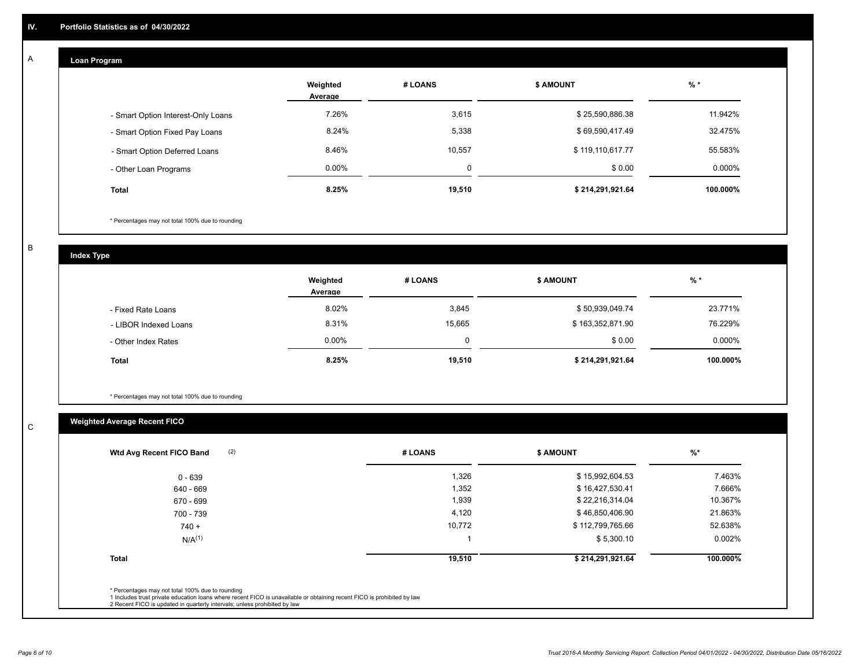## **Loan Program**

A

|                                    | Weighted<br>Average | # LOANS  | <b>\$ AMOUNT</b> | $%$ *    |
|------------------------------------|---------------------|----------|------------------|----------|
| - Smart Option Interest-Only Loans | 7.26%               | 3,615    | \$25,590,886.38  | 11.942%  |
| - Smart Option Fixed Pay Loans     | 8.24%               | 5,338    | \$69,590,417.49  | 32.475%  |
| - Smart Option Deferred Loans      | 8.46%               | 10,557   | \$119,110,617.77 | 55.583%  |
| - Other Loan Programs              | $0.00\%$            | $\Omega$ | \$0.00           | 0.000%   |
| <b>Total</b>                       | 8.25%               | 19,510   | \$214,291,921.64 | 100.000% |

\* Percentages may not total 100% due to rounding

B

C

**Index Type**

|                       | Weighted<br>Average | # LOANS | <b>\$ AMOUNT</b> | $%$ *     |
|-----------------------|---------------------|---------|------------------|-----------|
| - Fixed Rate Loans    | 8.02%               | 3,845   | \$50,939,049.74  | 23.771%   |
| - LIBOR Indexed Loans | 8.31%               | 15,665  | \$163,352,871.90 | 76.229%   |
| - Other Index Rates   | $0.00\%$            |         | \$0.00           | $0.000\%$ |
| <b>Total</b>          | 8.25%               | 19,510  | \$214,291,921.64 | 100.000%  |

\* Percentages may not total 100% due to rounding

## **Weighted Average Recent FICO**

| (2)<br>Wtd Avg Recent FICO Band | # LOANS | <b>\$ AMOUNT</b> | $\frac{9}{6}$ * |
|---------------------------------|---------|------------------|-----------------|
| 0 - 639                         | 1,326   | \$15,992,604.53  | 7.463%          |
| 640 - 669                       | 1,352   | \$16,427,530.41  | 7.666%          |
| 670 - 699                       | 1,939   | \$22,216,314.04  | 10.367%         |
| 700 - 739                       | 4,120   | \$46,850,406.90  | 21.863%         |
| $740 +$                         | 10,772  | \$112,799,765.66 | 52.638%         |
| N/A <sup>(1)</sup>              |         | \$5,300.10       | 0.002%          |
| <b>Total</b>                    | 19,510  | \$214,291,921.64 | 100.000%        |
|                                 |         |                  |                 |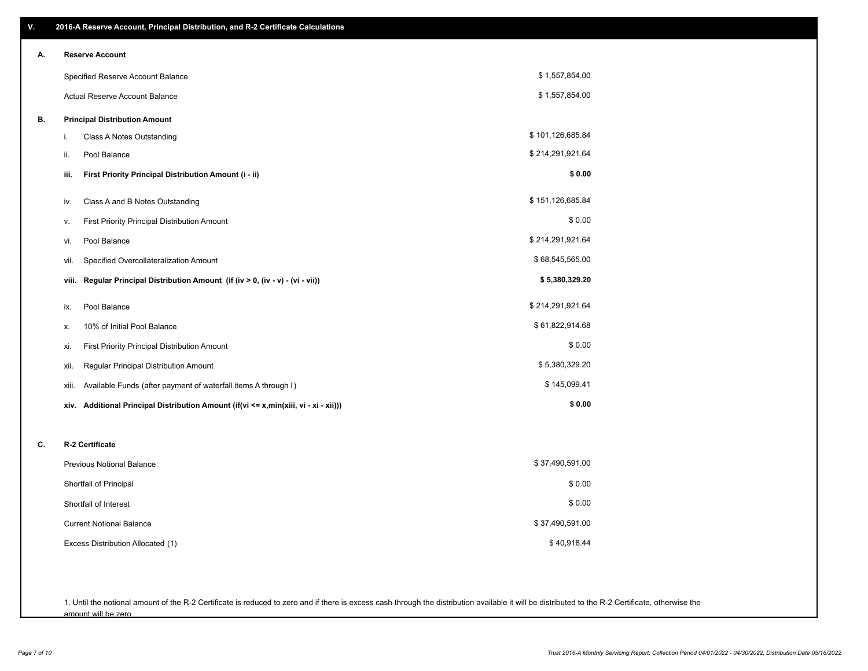| V. | 2016-A Reserve Account, Principal Distribution, and R-2 Certificate Calculations        |                  |
|----|-----------------------------------------------------------------------------------------|------------------|
| А. | <b>Reserve Account</b>                                                                  |                  |
|    | Specified Reserve Account Balance                                                       | \$1,557,854.00   |
|    | Actual Reserve Account Balance                                                          | \$1,557,854.00   |
| В. | <b>Principal Distribution Amount</b>                                                    |                  |
|    | Class A Notes Outstanding<br>i.                                                         | \$101,126,685.84 |
|    | Pool Balance<br>ii.                                                                     | \$214,291,921.64 |
|    | First Priority Principal Distribution Amount (i - ii)<br>iii.                           | \$0.00           |
|    | Class A and B Notes Outstanding<br>iv.                                                  | \$151,126,685.84 |
|    | First Priority Principal Distribution Amount<br>۷.                                      | \$0.00           |
|    | Pool Balance<br>vi.                                                                     | \$214,291,921.64 |
|    | Specified Overcollateralization Amount<br>vii.                                          | \$68,545,565.00  |
|    | Regular Principal Distribution Amount (if (iv > 0, (iv - v) - (vi - vii))<br>viii.      | \$5,380,329.20   |
|    | Pool Balance<br>ix.                                                                     | \$214,291,921.64 |
|    | 10% of Initial Pool Balance<br>х.                                                       | \$61,822,914.68  |
|    | First Priority Principal Distribution Amount<br>xi.                                     | \$0.00           |
|    | Regular Principal Distribution Amount<br>xii.                                           | \$5,380,329.20   |
|    | Available Funds (after payment of waterfall items A through I)<br>xiii.                 | \$145,099.41     |
|    | Additional Principal Distribution Amount (if(vi <= x,min(xiii, vi - xi - xii)))<br>xiv. | \$0.00           |
| C. | R-2 Certificate                                                                         |                  |
|    | Previous Notional Balance                                                               | \$37,490,591.00  |
|    | Shortfall of Principal                                                                  | \$0.00           |
|    | Shortfall of Interest                                                                   | \$0.00           |
|    | <b>Current Notional Balance</b>                                                         | \$37,490,591.00  |
|    | Excess Distribution Allocated (1)                                                       | \$40,918.44      |
|    |                                                                                         |                  |
|    |                                                                                         |                  |

1. Until the notional amount of the R-2 Certificate is reduced to zero and if there is excess cash through the distribution available it will be distributed to the R-2 Certificate, otherwise the amount will be zero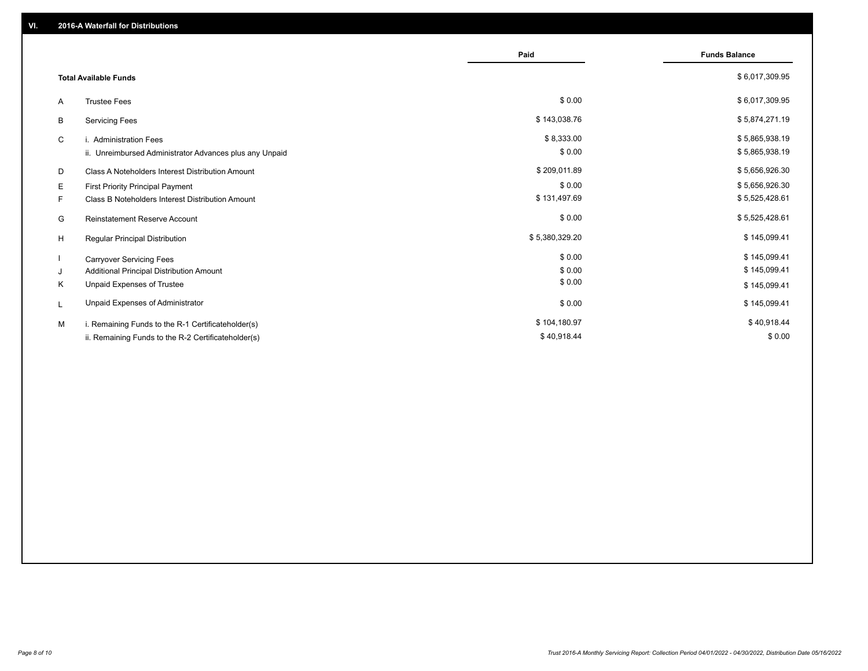|                                                              | Paid           | <b>Funds Balance</b> |
|--------------------------------------------------------------|----------------|----------------------|
| <b>Total Available Funds</b>                                 |                | \$6,017,309.95       |
| <b>Trustee Fees</b><br>A                                     | \$0.00         | \$6,017,309.95       |
| В<br><b>Servicing Fees</b>                                   | \$143,038.76   | \$5,874,271.19       |
| C<br>i. Administration Fees                                  | \$8,333.00     | \$5,865,938.19       |
| ii. Unreimbursed Administrator Advances plus any Unpaid      | \$0.00         | \$5,865,938.19       |
| D<br><b>Class A Noteholders Interest Distribution Amount</b> | \$209,011.89   | \$5,656,926.30       |
| Е<br>First Priority Principal Payment                        | \$0.00         | \$5,656,926.30       |
| Class B Noteholders Interest Distribution Amount<br>F.       | \$131,497.69   | \$5,525,428.61       |
| <b>Reinstatement Reserve Account</b><br>G                    | \$0.00         | \$5,525,428.61       |
| H<br>Regular Principal Distribution                          | \$5,380,329.20 | \$145,099.41         |
| <b>Carryover Servicing Fees</b>                              | \$0.00         | \$145,099.41         |
| Additional Principal Distribution Amount<br>J                | \$0.00         | \$145,099.41         |
| Κ<br>Unpaid Expenses of Trustee                              | \$0.00         | \$145,099.41         |
| Unpaid Expenses of Administrator<br>L                        | \$0.00         | \$145,099.41         |
| M<br>i. Remaining Funds to the R-1 Certificateholder(s)      | \$104,180.97   | \$40,918.44          |
| ii. Remaining Funds to the R-2 Certificateholder(s)          | \$40,918.44    | \$0.00               |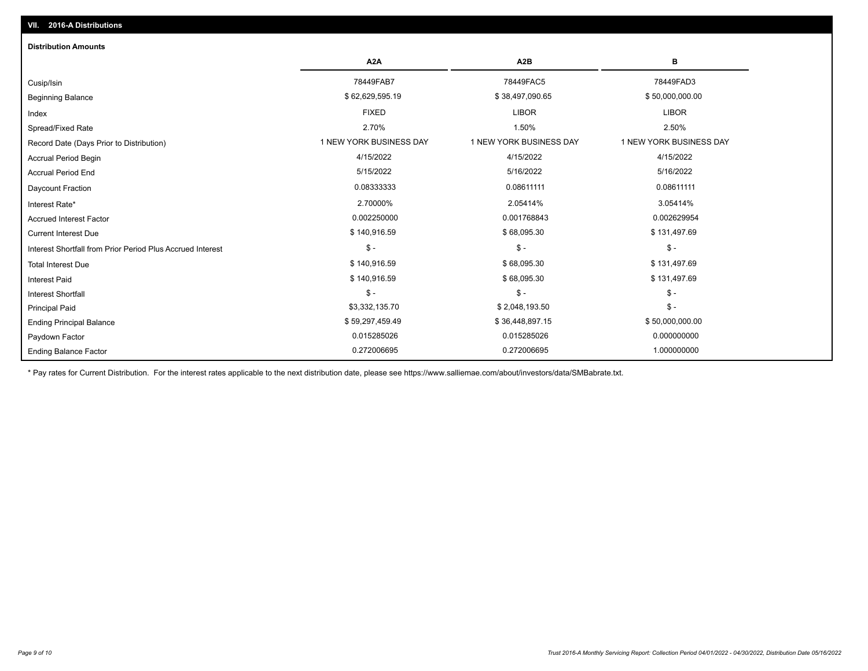| <b>Distribution Amounts</b>                                |                         |                         |                         |
|------------------------------------------------------------|-------------------------|-------------------------|-------------------------|
|                                                            | A <sub>2</sub> A        | A <sub>2</sub> B        | в                       |
| Cusip/Isin                                                 | 78449FAB7               | 78449FAC5               | 78449FAD3               |
| <b>Beginning Balance</b>                                   | \$62,629,595.19         | \$38,497,090.65         | \$50,000,000.00         |
| Index                                                      | <b>FIXED</b>            | <b>LIBOR</b>            | <b>LIBOR</b>            |
| Spread/Fixed Rate                                          | 2.70%                   | 1.50%                   | 2.50%                   |
| Record Date (Days Prior to Distribution)                   | 1 NEW YORK BUSINESS DAY | 1 NEW YORK BUSINESS DAY | 1 NEW YORK BUSINESS DAY |
| <b>Accrual Period Begin</b>                                | 4/15/2022               | 4/15/2022               | 4/15/2022               |
| <b>Accrual Period End</b>                                  | 5/15/2022               | 5/16/2022               | 5/16/2022               |
| Daycount Fraction                                          | 0.08333333              | 0.08611111              | 0.08611111              |
| Interest Rate*                                             | 2.70000%                | 2.05414%                | 3.05414%                |
| <b>Accrued Interest Factor</b>                             | 0.002250000             | 0.001768843             | 0.002629954             |
| <b>Current Interest Due</b>                                | \$140,916.59            | \$68,095.30             | \$131,497.69            |
| Interest Shortfall from Prior Period Plus Accrued Interest | $\frac{1}{2}$           | $\mathsf{\$}$ -         | $\mathsf{\$}$ -         |
| <b>Total Interest Due</b>                                  | \$140,916.59            | \$68,095.30             | \$131,497.69            |
| <b>Interest Paid</b>                                       | \$140,916.59            | \$68,095.30             | \$131,497.69            |
| Interest Shortfall                                         | $$ -$                   | $$ -$                   | $$ -$                   |
| <b>Principal Paid</b>                                      | \$3,332,135.70          | \$2,048,193.50          | $$ -$                   |
| <b>Ending Principal Balance</b>                            | \$59,297,459.49         | \$36,448,897.15         | \$50,000,000.00         |
| Paydown Factor                                             | 0.015285026             | 0.015285026             | 0.000000000             |
| <b>Ending Balance Factor</b>                               | 0.272006695             | 0.272006695             | 1.000000000             |

\* Pay rates for Current Distribution. For the interest rates applicable to the next distribution date, please see https://www.salliemae.com/about/investors/data/SMBabrate.txt.

**VII. 2016-A Distributions**